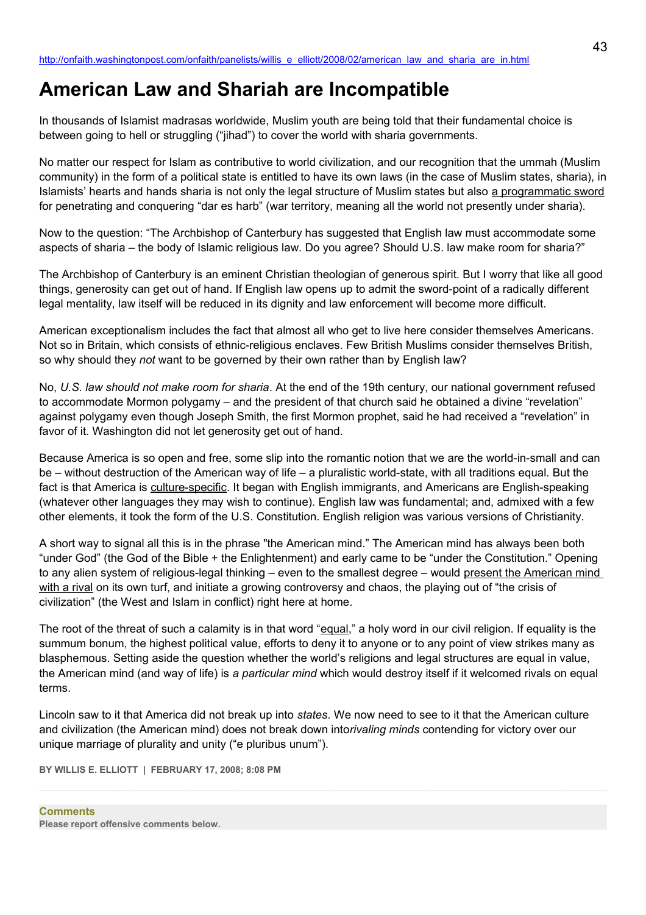# **American Law and Shariah are Incompatible**

In thousands of Islamist madrasas worldwide, Muslim youth are being told that their fundamental choice is between going to hell or struggling ("jihad") to cover the world with sharia governments.

No matter our respect for Islam as contributive to world civilization, and our recognition that the ummah (Muslim community) in the form of a political state is entitled to have its own laws (in the case of Muslim states, sharia), in Islamists' hearts and hands sharia is not only the legal structure of Muslim states but also a programmatic sword for penetrating and conquering "dar es harb" (war territory, meaning all the world not presently under sharia).

Now to the question: "The Archbishop of Canterbury has suggested that English law must accommodate some aspects of sharia – the body of Islamic religious law. Do you agree? Should U.S. law make room for sharia?"

The Archbishop of Canterbury is an eminent Christian theologian of generous spirit. But I worry that like all good things, generosity can get out of hand. If English law opens up to admit the sword-point of a radically different legal mentality, law itself will be reduced in its dignity and law enforcement will become more difficult.

American exceptionalism includes the fact that almost all who get to live here consider themselves Americans. Not so in Britain, which consists of ethnic-religious enclaves. Few British Muslims consider themselves British, so why should they *not* want to be governed by their own rather than by English law?

No, *U.S. law should not make room for sharia*. At the end of the 19th century, our national government refused to accommodate Mormon polygamy – and the president of that church said he obtained a divine "revelation" against polygamy even though Joseph Smith, the first Mormon prophet, said he had received a "revelation" in favor of it. Washington did not let generosity get out of hand.

Because America is so open and free, some slip into the romantic notion that we are the world-in-small and can be – without destruction of the American way of life – a pluralistic world-state, with all traditions equal. But the fact is that America is culture-specific. It began with English immigrants, and Americans are English-speaking (whatever other languages they may wish to continue). English law was fundamental; and, admixed with a few other elements, it took the form of the U.S. Constitution. English religion was various versions of Christianity.

A short way to signal all this is in the phrase "the American mind." The American mind has always been both "under God" (the God of the Bible + the Enlightenment) and early came to be "under the Constitution." Opening to any alien system of religious-legal thinking – even to the smallest degree – would present the American mind with a rival on its own turf, and initiate a growing controversy and chaos, the playing out of "the crisis of civilization" (the West and Islam in conflict) right here at home.

The root of the threat of such a calamity is in that word "equal," a holy word in our civil religion. If equality is the summum bonum, the highest political value, efforts to deny it to anyone or to any point of view strikes many as blasphemous. Setting aside the question whether the world's religions and legal structures are equal in value, the American mind (and way of life) is *a particular mind* which would destroy itself if it welcomed rivals on equal terms.

Lincoln saw to it that America did not break up into *states*. We now need to see to it that the American culture and civilization (the American mind) does not break down into*rivaling minds* contending for victory over our unique marriage of plurality and unity ("e pluribus unum").

**BY WILLIS E. ELLIOTT | FEBRUARY 17, 2008; 8:08 PM**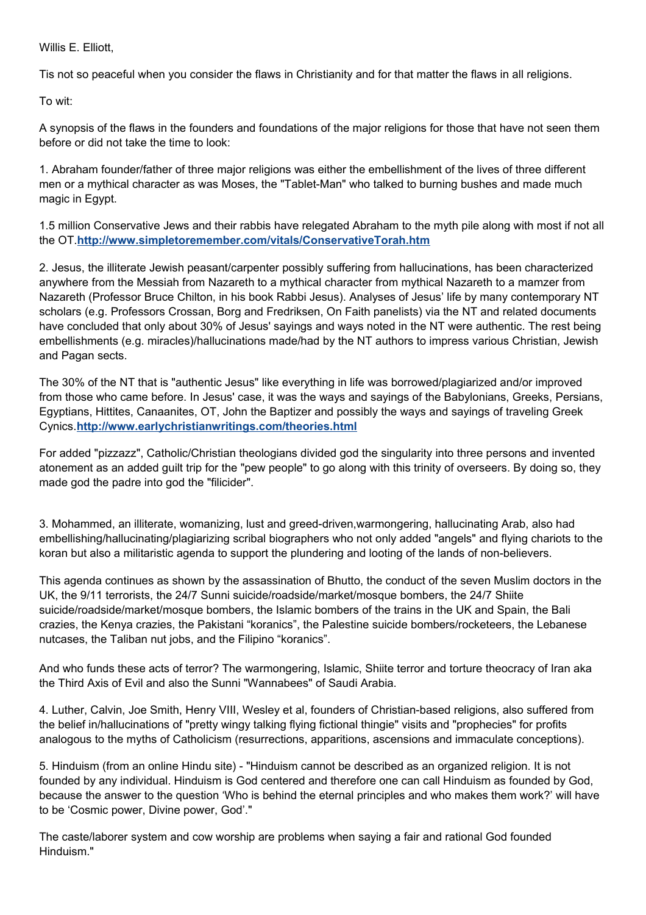Willis E. Elliott,

Tis not so peaceful when you consider the flaws in Christianity and for that matter the flaws in all religions.

To wit:

A synopsis of the flaws in the founders and foundations of the major religions for those that have not seen them before or did not take the time to look:

1. Abraham founder/father of three major religions was either the embellishment of the lives of three different men or a mythical character as was Moses, the "Tablet-Man" who talked to burning bushes and made much magic in Egypt.

1.5 million Conservative Jews and their rabbis have relegated Abraham to the myth pile along with most if not all the OT.**<http://www.simpletoremember.com/vitals/ConservativeTorah.htm>**

2. Jesus, the illiterate Jewish peasant/carpenter possibly suffering from hallucinations, has been characterized anywhere from the Messiah from Nazareth to a mythical character from mythical Nazareth to a mamzer from Nazareth (Professor Bruce Chilton, in his book Rabbi Jesus). Analyses of Jesus' life by many contemporary NT scholars (e.g. Professors Crossan, Borg and Fredriksen, On Faith panelists) via the NT and related documents have concluded that only about 30% of Jesus' sayings and ways noted in the NT were authentic. The rest being embellishments (e.g. miracles)/hallucinations made/had by the NT authors to impress various Christian, Jewish and Pagan sects.

The 30% of the NT that is "authentic Jesus" like everything in life was borrowed/plagiarized and/or improved from those who came before. In Jesus' case, it was the ways and sayings of the Babylonians, Greeks, Persians, Egyptians, Hittites, Canaanites, OT, John the Baptizer and possibly the ways and sayings of traveling Greek Cynics.**<http://www.earlychristianwritings.com/theories.html>**

For added "pizzazz", Catholic/Christian theologians divided god the singularity into three persons and invented atonement as an added guilt trip for the "pew people" to go along with this trinity of overseers. By doing so, they made god the padre into god the "filicider".

3. Mohammed, an illiterate, womanizing, lust and greed-driven,warmongering, hallucinating Arab, also had embellishing/hallucinating/plagiarizing scribal biographers who not only added "angels" and flying chariots to the koran but also a militaristic agenda to support the plundering and looting of the lands of non-believers.

This agenda continues as shown by the assassination of Bhutto, the conduct of the seven Muslim doctors in the UK, the 9/11 terrorists, the 24/7 Sunni suicide/roadside/market/mosque bombers, the 24/7 Shiite suicide/roadside/market/mosque bombers, the Islamic bombers of the trains in the UK and Spain, the Bali crazies, the Kenya crazies, the Pakistani "koranics", the Palestine suicide bombers/rocketeers, the Lebanese nutcases, the Taliban nut jobs, and the Filipino "koranics".

And who funds these acts of terror? The warmongering, Islamic, Shiite terror and torture theocracy of Iran aka the Third Axis of Evil and also the Sunni "Wannabees" of Saudi Arabia.

4. Luther, Calvin, Joe Smith, Henry VIII, Wesley et al, founders of Christian-based religions, also suffered from the belief in/hallucinations of "pretty wingy talking flying fictional thingie" visits and "prophecies" for profits analogous to the myths of Catholicism (resurrections, apparitions, ascensions and immaculate conceptions).

5. Hinduism (from an online Hindu site) - "Hinduism cannot be described as an organized religion. It is not founded by any individual. Hinduism is God centered and therefore one can call Hinduism as founded by God, because the answer to the question 'Who is behind the eternal principles and who makes them work?' will have to be 'Cosmic power, Divine power, God'."

The caste/laborer system and cow worship are problems when saying a fair and rational God founded Hinduism."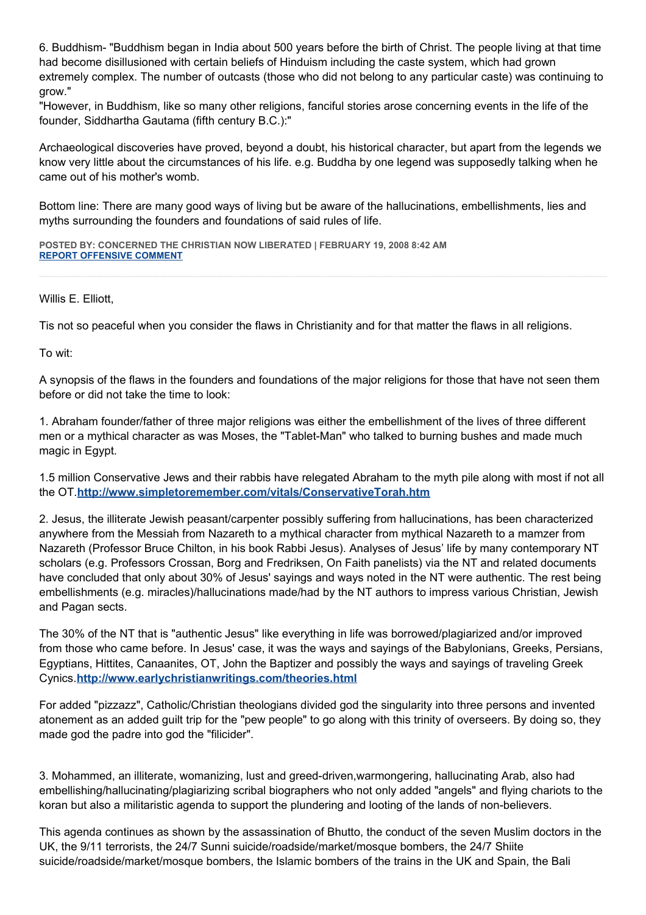6. Buddhism- "Buddhism began in India about 500 years before the birth of Christ. The people living at that time had become disillusioned with certain beliefs of Hinduism including the caste system, which had grown extremely complex. The number of outcasts (those who did not belong to any particular caste) was continuing to grow."

"However, in Buddhism, like so many other religions, fanciful stories arose concerning events in the life of the founder, Siddhartha Gautama (fifth century B.C.):"

Archaeological discoveries have proved, beyond a doubt, his historical character, but apart from the legends we know very little about the circumstances of his life. e.g. Buddha by one legend was supposedly talking when he came out of his mother's womb.

Bottom line: There are many good ways of living but be aware of the hallucinations, embellishments, lies and myths surrounding the founders and foundations of said rules of life.

**POSTED BY: CONCERNED THE CHRISTIAN NOW LIBERATED | FEBRUARY 19, 2008 8:42 AM [REPORT OFFENSIVE COMMENT](mailto:blogs@washingtonpost.com?subject=On%20Faith%20Panelists%20Blog%20%20%7C%20%20Concerned%20The%20Christian%20Now%20Liberated%20%20%7C%20%20American%20Law%20and%20Shariah%20are%20Incompatible%20%20%7C%20%202524230&body=%0D%0D%0D%0D%0D================%0D?__mode=view%26_type=comment%26id=2524230%26blog_id=618)**

Willis E. Elliott,

Tis not so peaceful when you consider the flaws in Christianity and for that matter the flaws in all religions.

To wit:

A synopsis of the flaws in the founders and foundations of the major religions for those that have not seen them before or did not take the time to look:

1. Abraham founder/father of three major religions was either the embellishment of the lives of three different men or a mythical character as was Moses, the "Tablet-Man" who talked to burning bushes and made much magic in Egypt.

1.5 million Conservative Jews and their rabbis have relegated Abraham to the myth pile along with most if not all the OT.**<http://www.simpletoremember.com/vitals/ConservativeTorah.htm>**

2. Jesus, the illiterate Jewish peasant/carpenter possibly suffering from hallucinations, has been characterized anywhere from the Messiah from Nazareth to a mythical character from mythical Nazareth to a mamzer from Nazareth (Professor Bruce Chilton, in his book Rabbi Jesus). Analyses of Jesus' life by many contemporary NT scholars (e.g. Professors Crossan, Borg and Fredriksen, On Faith panelists) via the NT and related documents have concluded that only about 30% of Jesus' sayings and ways noted in the NT were authentic. The rest being embellishments (e.g. miracles)/hallucinations made/had by the NT authors to impress various Christian, Jewish and Pagan sects.

The 30% of the NT that is "authentic Jesus" like everything in life was borrowed/plagiarized and/or improved from those who came before. In Jesus' case, it was the ways and sayings of the Babylonians, Greeks, Persians, Egyptians, Hittites, Canaanites, OT, John the Baptizer and possibly the ways and sayings of traveling Greek Cynics.**<http://www.earlychristianwritings.com/theories.html>**

For added "pizzazz", Catholic/Christian theologians divided god the singularity into three persons and invented atonement as an added guilt trip for the "pew people" to go along with this trinity of overseers. By doing so, they made god the padre into god the "filicider".

3. Mohammed, an illiterate, womanizing, lust and greed-driven,warmongering, hallucinating Arab, also had embellishing/hallucinating/plagiarizing scribal biographers who not only added "angels" and flying chariots to the koran but also a militaristic agenda to support the plundering and looting of the lands of non-believers.

This agenda continues as shown by the assassination of Bhutto, the conduct of the seven Muslim doctors in the UK, the 9/11 terrorists, the 24/7 Sunni suicide/roadside/market/mosque bombers, the 24/7 Shiite suicide/roadside/market/mosque bombers, the Islamic bombers of the trains in the UK and Spain, the Bali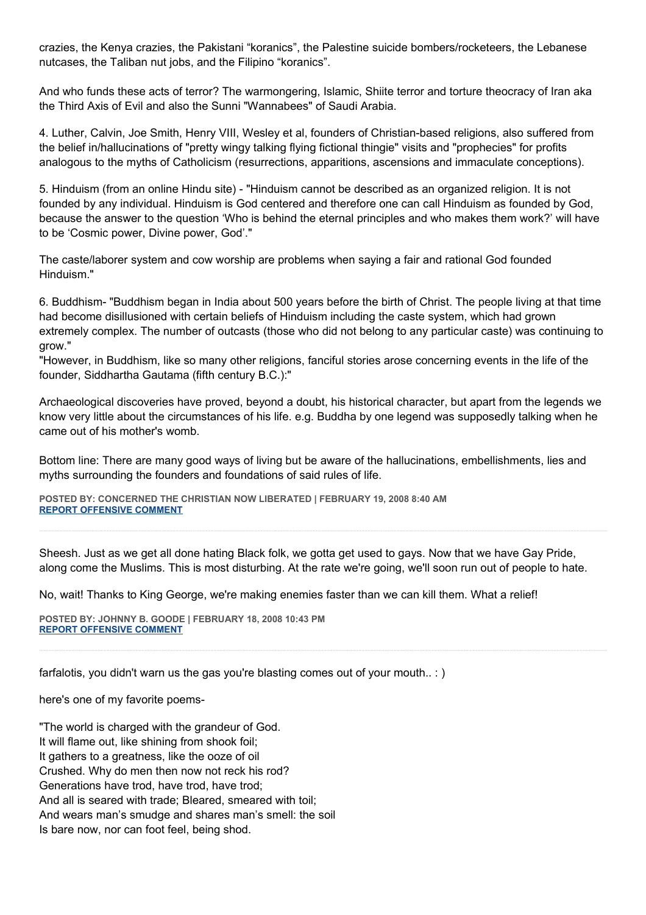crazies, the Kenya crazies, the Pakistani "koranics", the Palestine suicide bombers/rocketeers, the Lebanese nutcases, the Taliban nut jobs, and the Filipino "koranics".

And who funds these acts of terror? The warmongering, Islamic, Shiite terror and torture theocracy of Iran aka the Third Axis of Evil and also the Sunni "Wannabees" of Saudi Arabia.

4. Luther, Calvin, Joe Smith, Henry VIII, Wesley et al, founders of Christian-based religions, also suffered from the belief in/hallucinations of "pretty wingy talking flying fictional thingie" visits and "prophecies" for profits analogous to the myths of Catholicism (resurrections, apparitions, ascensions and immaculate conceptions).

5. Hinduism (from an online Hindu site) - "Hinduism cannot be described as an organized religion. It is not founded by any individual. Hinduism is God centered and therefore one can call Hinduism as founded by God, because the answer to the question 'Who is behind the eternal principles and who makes them work?' will have to be 'Cosmic power, Divine power, God'."

The caste/laborer system and cow worship are problems when saying a fair and rational God founded Hinduism."

6. Buddhism- "Buddhism began in India about 500 years before the birth of Christ. The people living at that time had become disillusioned with certain beliefs of Hinduism including the caste system, which had grown extremely complex. The number of outcasts (those who did not belong to any particular caste) was continuing to grow."

"However, in Buddhism, like so many other religions, fanciful stories arose concerning events in the life of the founder, Siddhartha Gautama (fifth century B.C.):"

Archaeological discoveries have proved, beyond a doubt, his historical character, but apart from the legends we know very little about the circumstances of his life. e.g. Buddha by one legend was supposedly talking when he came out of his mother's womb.

Bottom line: There are many good ways of living but be aware of the hallucinations, embellishments, lies and myths surrounding the founders and foundations of said rules of life.

**POSTED BY: CONCERNED THE CHRISTIAN NOW LIBERATED | FEBRUARY 19, 2008 8:40 AM [REPORT OFFENSIVE COMMENT](mailto:blogs@washingtonpost.com?subject=On%20Faith%20Panelists%20Blog%20%20%7C%20%20Concerned%20The%20Christian%20Now%20Liberated%20%20%7C%20%20American%20Law%20and%20Shariah%20are%20Incompatible%20%20%7C%20%202524221&body=%0D%0D%0D%0D%0D================%0D?__mode=view%26_type=comment%26id=2524221%26blog_id=618)**

Sheesh. Just as we get all done hating Black folk, we gotta get used to gays. Now that we have Gay Pride, along come the Muslims. This is most disturbing. At the rate we're going, we'll soon run out of people to hate.

No, wait! Thanks to King George, we're making enemies faster than we can kill them. What a relief!

**POSTED BY: JOHNNY B. GOODE | FEBRUARY 18, 2008 10:43 PM [REPORT OFFENSIVE COMMENT](mailto:blogs@washingtonpost.com?subject=On%20Faith%20Panelists%20Blog%20%20%7C%20%20Johnny%20B.%20Goode%20%20%7C%20%20American%20Law%20and%20Shariah%20are%20Incompatible%20%20%7C%20%202519775&body=%0D%0D%0D%0D%0D================%0D?__mode=view%26_type=comment%26id=2519775%26blog_id=618)**

farfalotis, you didn't warn us the gas you're blasting comes out of your mouth.. : )

here's one of my favorite poems-

"The world is charged with the grandeur of God. It will flame out, like shining from shook foil; It gathers to a greatness, like the ooze of oil Crushed. Why do men then now not reck his rod? Generations have trod, have trod, have trod; And all is seared with trade; Bleared, smeared with toil; And wears man's smudge and shares man's smell: the soil Is bare now, nor can foot feel, being shod.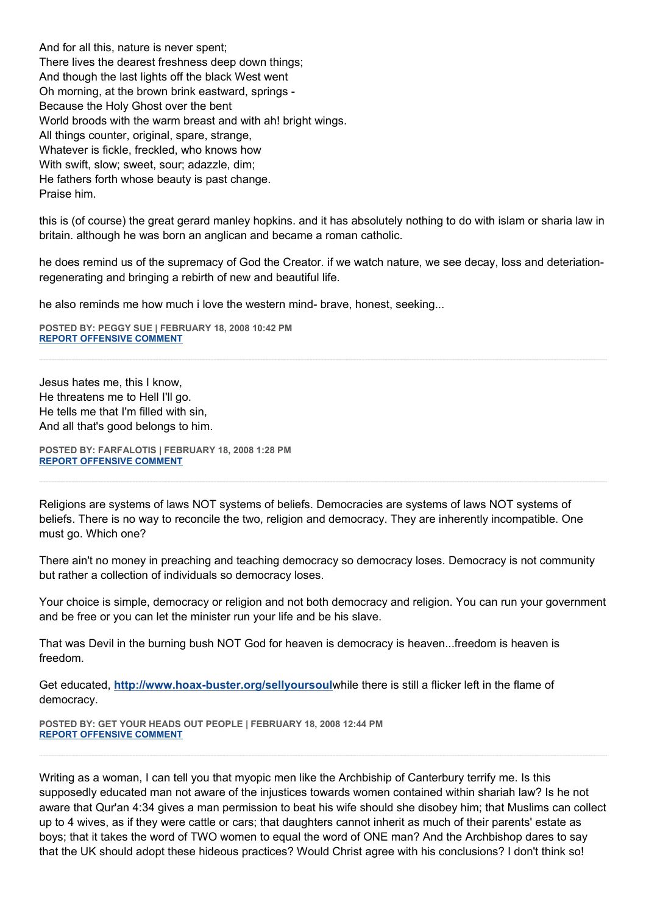And for all this, nature is never spent; There lives the dearest freshness deep down things; And though the last lights off the black West went Oh morning, at the brown brink eastward, springs - Because the Holy Ghost over the bent World broods with the warm breast and with ah! bright wings. All things counter, original, spare, strange, Whatever is fickle, freckled, who knows how With swift, slow; sweet, sour; adazzle, dim; He fathers forth whose beauty is past change. Praise him.

this is (of course) the great gerard manley hopkins. and it has absolutely nothing to do with islam or sharia law in britain. although he was born an anglican and became a roman catholic.

he does remind us of the supremacy of God the Creator. if we watch nature, we see decay, loss and deteriationregenerating and bringing a rebirth of new and beautiful life.

he also reminds me how much i love the western mind- brave, honest, seeking...

**POSTED BY: PEGGY SUE | FEBRUARY 18, 2008 10:42 PM [REPORT OFFENSIVE COMMENT](mailto:blogs@washingtonpost.com?subject=On%20Faith%20Panelists%20Blog%20%20%7C%20%20peggy%20sue%20%20%7C%20%20American%20Law%20and%20Shariah%20are%20Incompatible%20%20%7C%20%202519773&body=%0D%0D%0D%0D%0D================%0D?__mode=view%26_type=comment%26id=2519773%26blog_id=618)**

Jesus hates me, this I know, He threatens me to Hell I'll go. He tells me that I'm filled with sin, And all that's good belongs to him.

**POSTED BY: FARFALOTIS | FEBRUARY 18, 2008 1:28 PM [REPORT OFFENSIVE COMMENT](mailto:blogs@washingtonpost.com?subject=On%20Faith%20Panelists%20Blog%20%20%7C%20%20Farfalotis%20%20%7C%20%20American%20Law%20and%20Shariah%20are%20Incompatible%20%20%7C%20%202515831&body=%0D%0D%0D%0D%0D================%0D?__mode=view%26_type=comment%26id=2515831%26blog_id=618)**

Religions are systems of laws NOT systems of beliefs. Democracies are systems of laws NOT systems of beliefs. There is no way to reconcile the two, religion and democracy. They are inherently incompatible. One must go. Which one?

There ain't no money in preaching and teaching democracy so democracy loses. Democracy is not community but rather a collection of individuals so democracy loses.

Your choice is simple, democracy or religion and not both democracy and religion. You can run your government and be free or you can let the minister run your life and be his slave.

That was Devil in the burning bush NOT God for heaven is democracy is heaven...freedom is heaven is freedom.

Get educated, **<http://www.hoax-buster.org/sellyoursoul>**while there is still a flicker left in the flame of democracy.

**POSTED BY: GET YOUR HEADS OUT PEOPLE | FEBRUARY 18, 2008 12:44 PM [REPORT OFFENSIVE COMMENT](mailto:blogs@washingtonpost.com?subject=On%20Faith%20Panelists%20Blog%20%20%7C%20%20Get%20%20your%20heads%20out%20people%20%20%7C%20%20American%20Law%20and%20Shariah%20are%20Incompatible%20%20%7C%20%202515543&body=%0D%0D%0D%0D%0D================%0D?__mode=view%26_type=comment%26id=2515543%26blog_id=618)**

Writing as a woman, I can tell you that myopic men like the Archbiship of Canterbury terrify me. Is this supposedly educated man not aware of the injustices towards women contained within shariah law? Is he not aware that Qur'an 4:34 gives a man permission to beat his wife should she disobey him; that Muslims can collect up to 4 wives, as if they were cattle or cars; that daughters cannot inherit as much of their parents' estate as boys; that it takes the word of TWO women to equal the word of ONE man? And the Archbishop dares to say that the UK should adopt these hideous practices? Would Christ agree with his conclusions? I don't think so!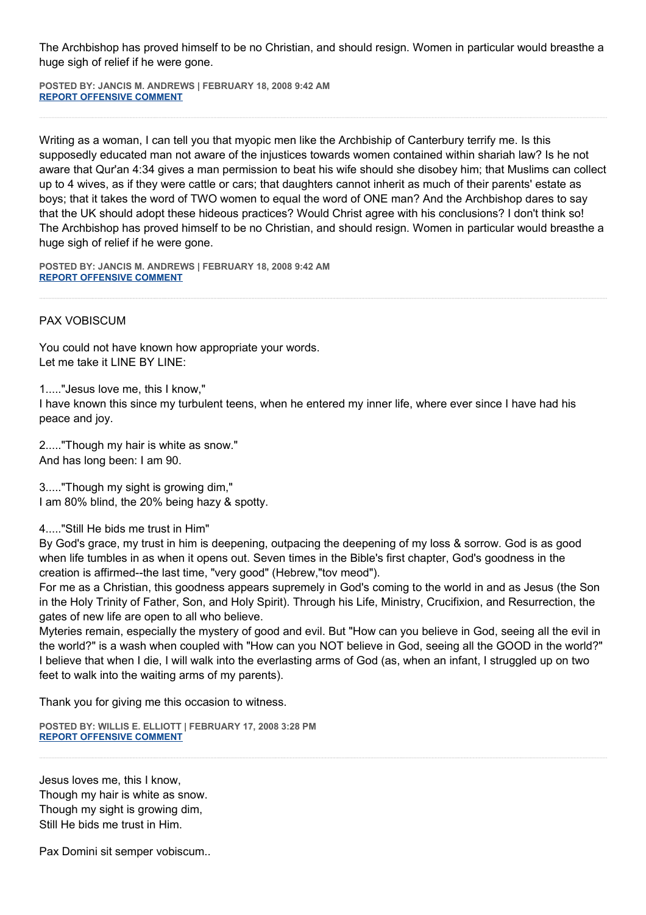The Archbishop has proved himself to be no Christian, and should resign. Women in particular would breasthe a huge sigh of relief if he were gone.

**POSTED BY: JANCIS M. ANDREWS | FEBRUARY 18, 2008 9:42 AM [REPORT OFFENSIVE COMMENT](mailto:blogs@washingtonpost.com?subject=On%20Faith%20Panelists%20Blog%20%20%7C%20%20Jancis%20M.%20Andrews%20%20%7C%20%20American%20Law%20and%20Shariah%20are%20Incompatible%20%20%7C%20%202513928&body=%0D%0D%0D%0D%0D================%0D?__mode=view%26_type=comment%26id=2513928%26blog_id=618)**

Writing as a woman, I can tell you that myopic men like the Archbiship of Canterbury terrify me. Is this supposedly educated man not aware of the injustices towards women contained within shariah law? Is he not aware that Qur'an 4:34 gives a man permission to beat his wife should she disobey him; that Muslims can collect up to 4 wives, as if they were cattle or cars; that daughters cannot inherit as much of their parents' estate as boys; that it takes the word of TWO women to equal the word of ONE man? And the Archbishop dares to say that the UK should adopt these hideous practices? Would Christ agree with his conclusions? I don't think so! The Archbishop has proved himself to be no Christian, and should resign. Women in particular would breasthe a huge sigh of relief if he were gone.

**POSTED BY: JANCIS M. ANDREWS | FEBRUARY 18, 2008 9:42 AM [REPORT OFFENSIVE COMMENT](mailto:blogs@washingtonpost.com?subject=On%20Faith%20Panelists%20Blog%20%20%7C%20%20Jancis%20M.%20Andrews%20%20%7C%20%20American%20Law%20and%20Shariah%20are%20Incompatible%20%20%7C%20%202513927&body=%0D%0D%0D%0D%0D================%0D?__mode=view%26_type=comment%26id=2513927%26blog_id=618)**

# PAX VOBISCUM

You could not have known how appropriate your words. Let me take it LINE BY LINE:

1....."Jesus love me, this I know,"

I have known this since my turbulent teens, when he entered my inner life, where ever since I have had his peace and joy.

2....."Though my hair is white as snow." And has long been: I am 90.

3....."Though my sight is growing dim," I am 80% blind, the 20% being hazy & spotty.

4....."Still He bids me trust in Him"

By God's grace, my trust in him is deepening, outpacing the deepening of my loss & sorrow. God is as good when life tumbles in as when it opens out. Seven times in the Bible's first chapter, God's goodness in the creation is affirmed--the last time, "very good" (Hebrew,"tov meod").

For me as a Christian, this goodness appears supremely in God's coming to the world in and as Jesus (the Son in the Holy Trinity of Father, Son, and Holy Spirit). Through his Life, Ministry, Crucifixion, and Resurrection, the gates of new life are open to all who believe.

Myteries remain, especially the mystery of good and evil. But "How can you believe in God, seeing all the evil in the world?" is a wash when coupled with "How can you NOT believe in God, seeing all the GOOD in the world?" I believe that when I die, I will walk into the everlasting arms of God (as, when an infant, I struggled up on two feet to walk into the waiting arms of my parents).

Thank you for giving me this occasion to witness.

**POSTED BY: WILLIS E. ELLIOTT | FEBRUARY 17, 2008 3:28 PM [REPORT OFFENSIVE COMMENT](mailto:blogs@washingtonpost.com?subject=On%20Faith%20Panelists%20Blog%20%20%7C%20%20Willis%20E.%20Elliott%20%20%7C%20%20American%20Law%20and%20Shariah%20are%20Incompatible%20%20%7C%20%202505890&body=%0D%0D%0D%0D%0D================%0D?__mode=view%26_type=comment%26id=2505890%26blog_id=618)**

Jesus loves me, this I know, Though my hair is white as snow. Though my sight is growing dim, Still He bids me trust in Him.

Pax Domini sit semper vobiscum..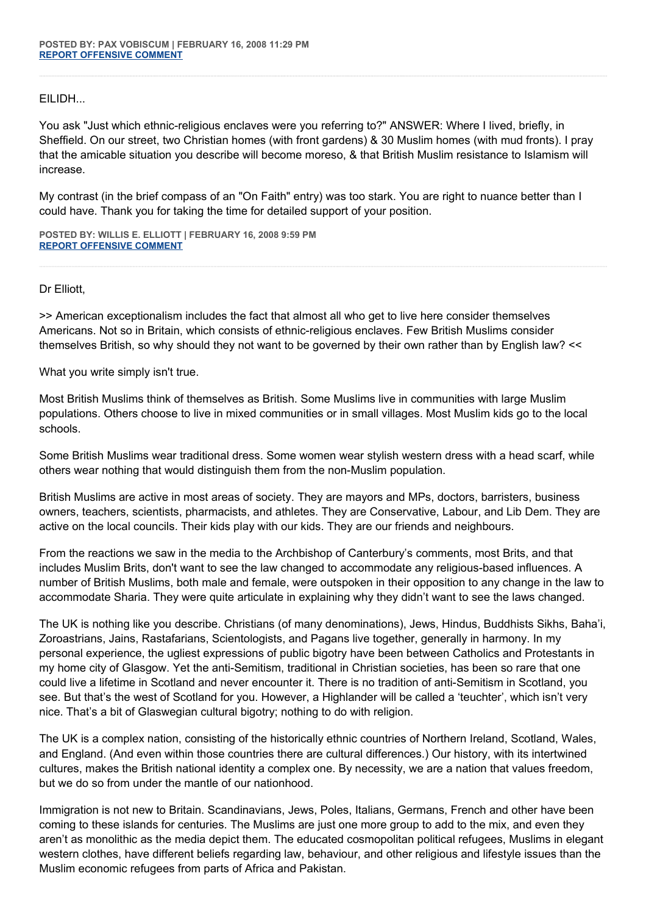EILIDH...

You ask "Just which ethnic-religious enclaves were you referring to?" ANSWER: Where I lived, briefly, in Sheffield. On our street, two Christian homes (with front gardens) & 30 Muslim homes (with mud fronts). I pray that the amicable situation you describe will become moreso, & that British Muslim resistance to Islamism will increase.

My contrast (in the brief compass of an "On Faith" entry) was too stark. You are right to nuance better than I could have. Thank you for taking the time for detailed support of your position.

**POSTED BY: WILLIS E. ELLIOTT | FEBRUARY 16, 2008 9:59 PM [REPORT OFFENSIVE COMMENT](mailto:blogs@washingtonpost.com?subject=On%20Faith%20Panelists%20Blog%20%20%7C%20%20Willis%20E.%20Elliott%20%20%7C%20%20American%20Law%20and%20Shariah%20are%20Incompatible%20%20%7C%20%202500264&body=%0D%0D%0D%0D%0D================%0D?__mode=view%26_type=comment%26id=2500264%26blog_id=618)**

Dr Elliott,

>> American exceptionalism includes the fact that almost all who get to live here consider themselves Americans. Not so in Britain, which consists of ethnic-religious enclaves. Few British Muslims consider themselves British, so why should they not want to be governed by their own rather than by English law? <<

What you write simply isn't true.

Most British Muslims think of themselves as British. Some Muslims live in communities with large Muslim populations. Others choose to live in mixed communities or in small villages. Most Muslim kids go to the local schools.

Some British Muslims wear traditional dress. Some women wear stylish western dress with a head scarf, while others wear nothing that would distinguish them from the non-Muslim population.

British Muslims are active in most areas of society. They are mayors and MPs, doctors, barristers, business owners, teachers, scientists, pharmacists, and athletes. They are Conservative, Labour, and Lib Dem. They are active on the local councils. Their kids play with our kids. They are our friends and neighbours.

From the reactions we saw in the media to the Archbishop of Canterbury's comments, most Brits, and that includes Muslim Brits, don't want to see the law changed to accommodate any religious-based influences. A number of British Muslims, both male and female, were outspoken in their opposition to any change in the law to accommodate Sharia. They were quite articulate in explaining why they didn't want to see the laws changed.

The UK is nothing like you describe. Christians (of many denominations), Jews, Hindus, Buddhists Sikhs, Baha'i, Zoroastrians, Jains, Rastafarians, Scientologists, and Pagans live together, generally in harmony. In my personal experience, the ugliest expressions of public bigotry have been between Catholics and Protestants in my home city of Glasgow. Yet the anti-Semitism, traditional in Christian societies, has been so rare that one could live a lifetime in Scotland and never encounter it. There is no tradition of anti-Semitism in Scotland, you see. But that's the west of Scotland for you. However, a Highlander will be called a 'teuchter', which isn't very nice. That's a bit of Glaswegian cultural bigotry; nothing to do with religion.

The UK is a complex nation, consisting of the historically ethnic countries of Northern Ireland, Scotland, Wales, and England. (And even within those countries there are cultural differences.) Our history, with its intertwined cultures, makes the British national identity a complex one. By necessity, we are a nation that values freedom, but we do so from under the mantle of our nationhood.

Immigration is not new to Britain. Scandinavians, Jews, Poles, Italians, Germans, French and other have been coming to these islands for centuries. The Muslims are just one more group to add to the mix, and even they aren't as monolithic as the media depict them. The educated cosmopolitan political refugees, Muslims in elegant western clothes, have different beliefs regarding law, behaviour, and other religious and lifestyle issues than the Muslim economic refugees from parts of Africa and Pakistan.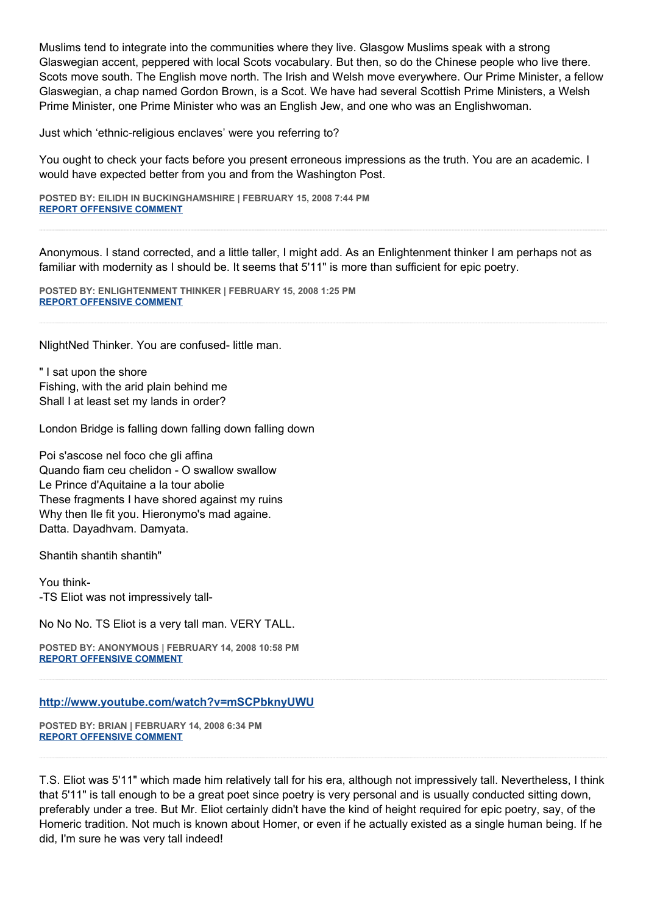Muslims tend to integrate into the communities where they live. Glasgow Muslims speak with a strong Glaswegian accent, peppered with local Scots vocabulary. But then, so do the Chinese people who live there. Scots move south. The English move north. The Irish and Welsh move everywhere. Our Prime Minister, a fellow Glaswegian, a chap named Gordon Brown, is a Scot. We have had several Scottish Prime Ministers, a Welsh Prime Minister, one Prime Minister who was an English Jew, and one who was an Englishwoman.

Just which 'ethnic-religious enclaves' were you referring to?

You ought to check your facts before you present erroneous impressions as the truth. You are an academic. I would have expected better from you and from the Washington Post.

**POSTED BY: EILIDH IN BUCKINGHAMSHIRE | FEBRUARY 15, 2008 7:44 PM [REPORT OFFENSIVE COMMENT](mailto:blogs@washingtonpost.com?subject=On%20Faith%20Panelists%20Blog%20%20%7C%20%20Eilidh%20in%20Buckinghamshire%20%20%7C%20%20American%20Law%20and%20Shariah%20are%20Incompatible%20%20%7C%20%202491087&body=%0D%0D%0D%0D%0D================%0D?__mode=view%26_type=comment%26id=2491087%26blog_id=618)**

Anonymous. I stand corrected, and a little taller, I might add. As an Enlightenment thinker I am perhaps not as familiar with modernity as I should be. It seems that 5'11" is more than sufficient for epic poetry.

**POSTED BY: ENLIGHTENMENT THINKER | FEBRUARY 15, 2008 1:25 PM [REPORT OFFENSIVE COMMENT](mailto:blogs@washingtonpost.com?subject=On%20Faith%20Panelists%20Blog%20%20%7C%20%20Enlightenment%20Thinker%20%20%7C%20%20American%20Law%20and%20Shariah%20are%20Incompatible%20%20%7C%20%202488665&body=%0D%0D%0D%0D%0D================%0D?__mode=view%26_type=comment%26id=2488665%26blog_id=618)**

NlightNed Thinker. You are confused- little man.

" I sat upon the shore Fishing, with the arid plain behind me Shall I at least set my lands in order?

London Bridge is falling down falling down falling down

Poi s'ascose nel foco che gli affina Quando fiam ceu chelidon - O swallow swallow Le Prince d'Aquitaine a la tour abolie These fragments I have shored against my ruins Why then Ile fit you. Hieronymo's mad againe. Datta. Dayadhvam. Damyata.

Shantih shantih shantih"

You think- -TS Eliot was not impressively tall-

No No No. TS Eliot is a very tall man. VERY TALL.

**POSTED BY: ANONYMOUS | FEBRUARY 14, 2008 10:58 PM [REPORT OFFENSIVE COMMENT](mailto:blogs@washingtonpost.com?subject=On%20Faith%20Panelists%20Blog%20%20%7C%20%20Anonymous%20%20%7C%20%20American%20Law%20and%20Shariah%20are%20Incompatible%20%20%7C%20%202482987&body=%0D%0D%0D%0D%0D================%0D?__mode=view%26_type=comment%26id=2482987%26blog_id=618)**

#### **<http://www.youtube.com/watch?v=mSCPbknyUWU>**

**POSTED BY: BRIAN | FEBRUARY 14, 2008 6:34 PM [REPORT OFFENSIVE COMMENT](mailto:blogs@washingtonpost.com?subject=On%20Faith%20Panelists%20Blog%20%20%7C%20%20Brian%20%20%7C%20%20American%20Law%20and%20Shariah%20are%20Incompatible%20%20%7C%20%202481251&body=%0D%0D%0D%0D%0D================%0D?__mode=view%26_type=comment%26id=2481251%26blog_id=618)**

T.S. Eliot was 5'11" which made him relatively tall for his era, although not impressively tall. Nevertheless, I think that 5'11" is tall enough to be a great poet since poetry is very personal and is usually conducted sitting down, preferably under a tree. But Mr. Eliot certainly didn't have the kind of height required for epic poetry, say, of the Homeric tradition. Not much is known about Homer, or even if he actually existed as a single human being. If he did, I'm sure he was very tall indeed!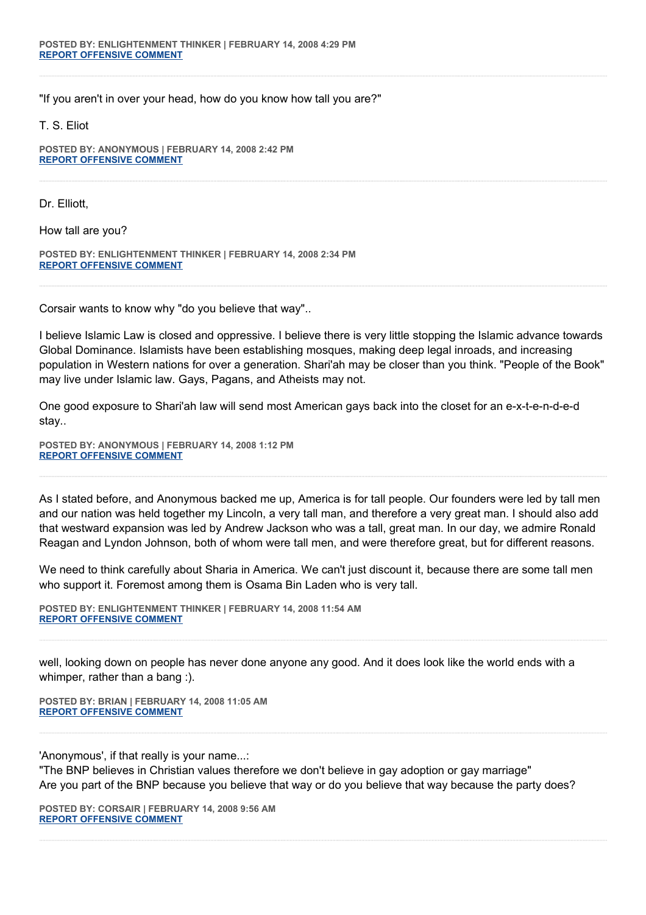"If you aren't in over your head, how do you know how tall you are?"

T. S. Eliot

**POSTED BY: ANONYMOUS | FEBRUARY 14, 2008 2:42 PM [REPORT OFFENSIVE COMMENT](mailto:blogs@washingtonpost.com?subject=On%20Faith%20Panelists%20Blog%20%20%7C%20%20Anonymous%20%20%7C%20%20American%20Law%20and%20Shariah%20are%20Incompatible%20%20%7C%20%202479424&body=%0D%0D%0D%0D%0D================%0D?__mode=view%26_type=comment%26id=2479424%26blog_id=618)**

Dr. Elliott,

How tall are you?

**POSTED BY: ENLIGHTENMENT THINKER | FEBRUARY 14, 2008 2:34 PM [REPORT OFFENSIVE COMMENT](mailto:blogs@washingtonpost.com?subject=On%20Faith%20Panelists%20Blog%20%20%7C%20%20Enlightenment%20Thinker%20%20%7C%20%20American%20Law%20and%20Shariah%20are%20Incompatible%20%20%7C%20%202479334&body=%0D%0D%0D%0D%0D================%0D?__mode=view%26_type=comment%26id=2479334%26blog_id=618)**

Corsair wants to know why "do you believe that way"..

I believe Islamic Law is closed and oppressive. I believe there is very little stopping the Islamic advance towards Global Dominance. Islamists have been establishing mosques, making deep legal inroads, and increasing population in Western nations for over a generation. Shari'ah may be closer than you think. "People of the Book" may live under Islamic law. Gays, Pagans, and Atheists may not.

One good exposure to Shari'ah law will send most American gays back into the closet for an e-x-t-e-n-d-e-d stay..

**POSTED BY: ANONYMOUS | FEBRUARY 14, 2008 1:12 PM [REPORT OFFENSIVE COMMENT](mailto:blogs@washingtonpost.com?subject=On%20Faith%20Panelists%20Blog%20%20%7C%20%20Anonymous%20%20%7C%20%20American%20Law%20and%20Shariah%20are%20Incompatible%20%20%7C%20%202478601&body=%0D%0D%0D%0D%0D================%0D?__mode=view%26_type=comment%26id=2478601%26blog_id=618)**

As I stated before, and Anonymous backed me up, America is for tall people. Our founders were led by tall men and our nation was held together my Lincoln, a very tall man, and therefore a very great man. I should also add that westward expansion was led by Andrew Jackson who was a tall, great man. In our day, we admire Ronald Reagan and Lyndon Johnson, both of whom were tall men, and were therefore great, but for different reasons.

We need to think carefully about Sharia in America. We can't just discount it, because there are some tall men who support it. Foremost among them is Osama Bin Laden who is very tall.

**POSTED BY: ENLIGHTENMENT THINKER | FEBRUARY 14, 2008 11:54 AM [REPORT OFFENSIVE COMMENT](mailto:blogs@washingtonpost.com?subject=On%20Faith%20Panelists%20Blog%20%20%7C%20%20Enlightenment%20Thinker%20%20%7C%20%20American%20Law%20and%20Shariah%20are%20Incompatible%20%20%7C%20%202477914&body=%0D%0D%0D%0D%0D================%0D?__mode=view%26_type=comment%26id=2477914%26blog_id=618)**

well, looking down on people has never done anyone any good. And it does look like the world ends with a whimper, rather than a bang :).

**POSTED BY: BRIAN | FEBRUARY 14, 2008 11:05 AM [REPORT OFFENSIVE COMMENT](mailto:blogs@washingtonpost.com?subject=On%20Faith%20Panelists%20Blog%20%20%7C%20%20Brian%20%20%7C%20%20American%20Law%20and%20Shariah%20are%20Incompatible%20%20%7C%20%202477526&body=%0D%0D%0D%0D%0D================%0D?__mode=view%26_type=comment%26id=2477526%26blog_id=618)**

'Anonymous', if that really is your name...:

"The BNP believes in Christian values therefore we don't believe in gay adoption or gay marriage" Are you part of the BNP because you believe that way or do you believe that way because the party does?

**POSTED BY: CORSAIR | FEBRUARY 14, 2008 9:56 AM [REPORT OFFENSIVE COMMENT](mailto:blogs@washingtonpost.com?subject=On%20Faith%20Panelists%20Blog%20%20%7C%20%20corsair%20%20%7C%20%20American%20Law%20and%20Shariah%20are%20Incompatible%20%20%7C%20%202476898&body=%0D%0D%0D%0D%0D================%0D?__mode=view%26_type=comment%26id=2476898%26blog_id=618)**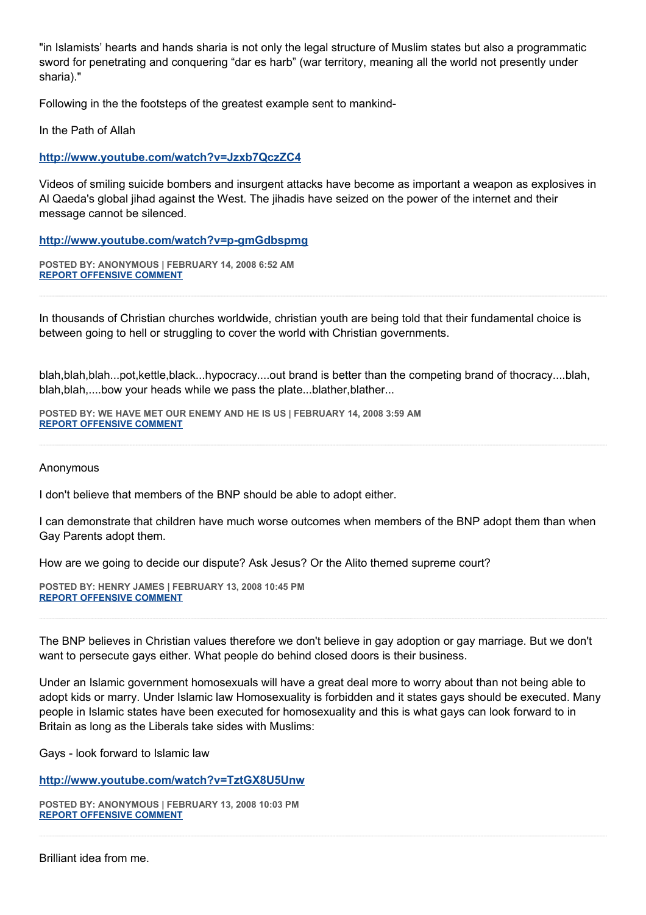"in Islamists' hearts and hands sharia is not only the legal structure of Muslim states but also a programmatic sword for penetrating and conquering "dar es harb" (war territory, meaning all the world not presently under sharia)."

Following in the the footsteps of the greatest example sent to mankind-

In the Path of Allah

**<http://www.youtube.com/watch?v=Jzxb7QczZC4>**

Videos of smiling suicide bombers and insurgent attacks have become as important a weapon as explosives in Al Qaeda's global jihad against the West. The jihadis have seized on the power of the internet and their message cannot be silenced.

**<http://www.youtube.com/watch?v=p-gmGdbspmg>**

**POSTED BY: ANONYMOUS | FEBRUARY 14, 2008 6:52 AM [REPORT OFFENSIVE COMMENT](mailto:blogs@washingtonpost.com?subject=On%20Faith%20Panelists%20Blog%20%20%7C%20%20Anonymous%20%20%7C%20%20American%20Law%20and%20Shariah%20are%20Incompatible%20%20%7C%20%202475291&body=%0D%0D%0D%0D%0D================%0D?__mode=view%26_type=comment%26id=2475291%26blog_id=618)**

In thousands of Christian churches worldwide, christian youth are being told that their fundamental choice is between going to hell or struggling to cover the world with Christian governments.

blah,blah,blah...pot,kettle,black...hypocracy....out brand is better than the competing brand of thocracy....blah, blah, blah,....bow your heads while we pass the plate...blather, blather...

**POSTED BY: WE HAVE MET OUR ENEMY AND HE IS US | FEBRUARY 14, 2008 3:59 AM [REPORT OFFENSIVE COMMENT](mailto:blogs@washingtonpost.com?subject=On%20Faith%20Panelists%20Blog%20%20%7C%20%20We%20have%20met%20our%20enemy%20and%20he%20is%20us%20%20%7C%20%20American%20Law%20and%20Shariah%20are%20Incompatible%20%20%7C%20%202473884&body=%0D%0D%0D%0D%0D================%0D?__mode=view%26_type=comment%26id=2473884%26blog_id=618)**

Anonymous

I don't believe that members of the BNP should be able to adopt either.

I can demonstrate that children have much worse outcomes when members of the BNP adopt them than when Gay Parents adopt them.

How are we going to decide our dispute? Ask Jesus? Or the Alito themed supreme court?

**POSTED BY: HENRY JAMES | FEBRUARY 13, 2008 10:45 PM [REPORT OFFENSIVE COMMENT](mailto:blogs@washingtonpost.com?subject=On%20Faith%20Panelists%20Blog%20%20%7C%20%20Henry%20James%20%20%7C%20%20American%20Law%20and%20Shariah%20are%20Incompatible%20%20%7C%20%202472006&body=%0D%0D%0D%0D%0D================%0D?__mode=view%26_type=comment%26id=2472006%26blog_id=618)**

The BNP believes in Christian values therefore we don't believe in gay adoption or gay marriage. But we don't want to persecute gays either. What people do behind closed doors is their business.

Under an Islamic government homosexuals will have a great deal more to worry about than not being able to adopt kids or marry. Under Islamic law Homosexuality is forbidden and it states gays should be executed. Many people in Islamic states have been executed for homosexuality and this is what gays can look forward to in Britain as long as the Liberals take sides with Muslims:

Gays - look forward to Islamic law

**<http://www.youtube.com/watch?v=TztGX8U5Unw>**

**POSTED BY: ANONYMOUS | FEBRUARY 13, 2008 10:03 PM [REPORT OFFENSIVE COMMENT](mailto:blogs@washingtonpost.com?subject=On%20Faith%20Panelists%20Blog%20%20%7C%20%20Anonymous%20%20%7C%20%20American%20Law%20and%20Shariah%20are%20Incompatible%20%20%7C%20%202471770&body=%0D%0D%0D%0D%0D================%0D?__mode=view%26_type=comment%26id=2471770%26blog_id=618)**

Brilliant idea from me.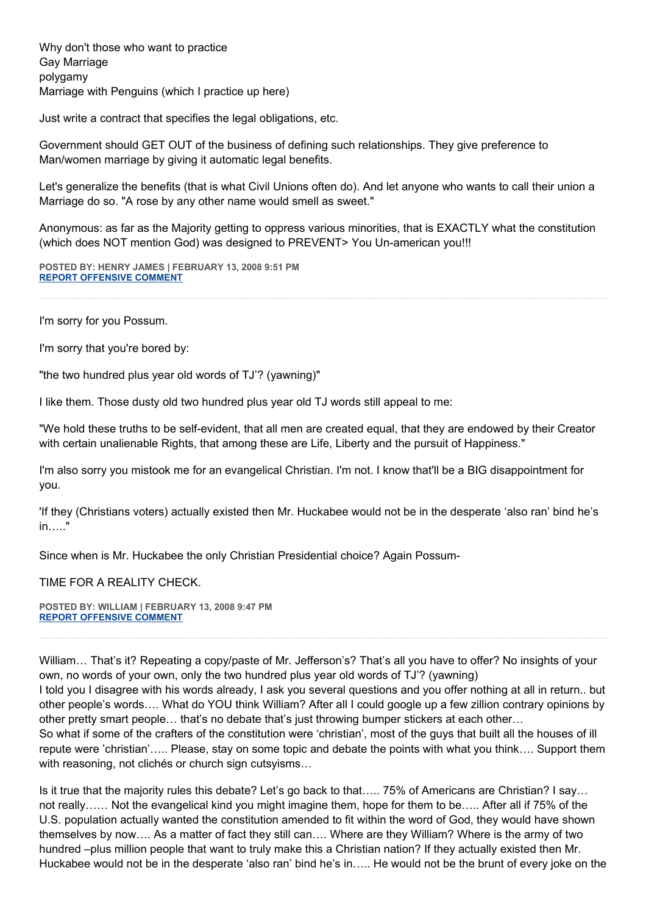Why don't those who want to practice Gay Marriage polygamy Marriage with Penguins (which I practice up here)

Just write a contract that specifies the legal obligations, etc.

Government should GET OUT of the business of defining such relationships. They give preference to Man/women marriage by giving it automatic legal benefits.

Let's generalize the benefits (that is what Civil Unions often do). And let anyone who wants to call their union a Marriage do so. "A rose by any other name would smell as sweet."

Anonymous: as far as the Majority getting to oppress various minorities, that is EXACTLY what the constitution (which does NOT mention God) was designed to PREVENT> You Un-american you!!!

**POSTED BY: HENRY JAMES | FEBRUARY 13, 2008 9:51 PM [REPORT OFFENSIVE COMMENT](mailto:blogs@washingtonpost.com?subject=On%20Faith%20Panelists%20Blog%20%20%7C%20%20Henry%20James%20%20%7C%20%20American%20Law%20and%20Shariah%20are%20Incompatible%20%20%7C%20%202471691&body=%0D%0D%0D%0D%0D================%0D?__mode=view%26_type=comment%26id=2471691%26blog_id=618)**

I'm sorry for you Possum.

I'm sorry that you're bored by:

"the two hundred plus year old words of TJ'? (yawning)"

I like them. Those dusty old two hundred plus year old TJ words still appeal to me:

"We hold these truths to be self-evident, that all men are created equal, that they are endowed by their Creator with certain unalienable Rights, that among these are Life, Liberty and the pursuit of Happiness."

I'm also sorry you mistook me for an evangelical Christian. I'm not. I know that'll be a BIG disappointment for you.

'If they (Christians voters) actually existed then Mr. Huckabee would not be in the desperate 'also ran' bind he's in….."

Since when is Mr. Huckabee the only Christian Presidential choice? Again Possum-

TIME FOR A REALITY CHECK.

**POSTED BY: WILLIAM | FEBRUARY 13, 2008 9:47 PM [REPORT OFFENSIVE COMMENT](mailto:blogs@washingtonpost.com?subject=On%20Faith%20Panelists%20Blog%20%20%7C%20%20william%20%20%7C%20%20American%20Law%20and%20Shariah%20are%20Incompatible%20%20%7C%20%202471659&body=%0D%0D%0D%0D%0D================%0D?__mode=view%26_type=comment%26id=2471659%26blog_id=618)**

William… That's it? Repeating a copy/paste of Mr. Jefferson's? That's all you have to offer? No insights of your own, no words of your own, only the two hundred plus year old words of TJ'? (yawning) I told you I disagree with his words already, I ask you several questions and you offer nothing at all in return.. but other people's words…. What do YOU think William? After all I could google up a few zillion contrary opinions by other pretty smart people… that's no debate that's just throwing bumper stickers at each other… So what if some of the crafters of the constitution were 'christian', most of the guys that built all the houses of ill repute were 'christian'….. Please, stay on some topic and debate the points with what you think…. Support them with reasoning, not clichés or church sign cutsyisms…

Is it true that the majority rules this debate? Let's go back to that….. 75% of Americans are Christian? I say… not really…… Not the evangelical kind you might imagine them, hope for them to be….. After all if 75% of the U.S. population actually wanted the constitution amended to fit within the word of God, they would have shown themselves by now…. As a matter of fact they still can…. Where are they William? Where is the army of two hundred –plus million people that want to truly make this a Christian nation? If they actually existed then Mr. Huckabee would not be in the desperate 'also ran' bind he's in….. He would not be the brunt of every joke on the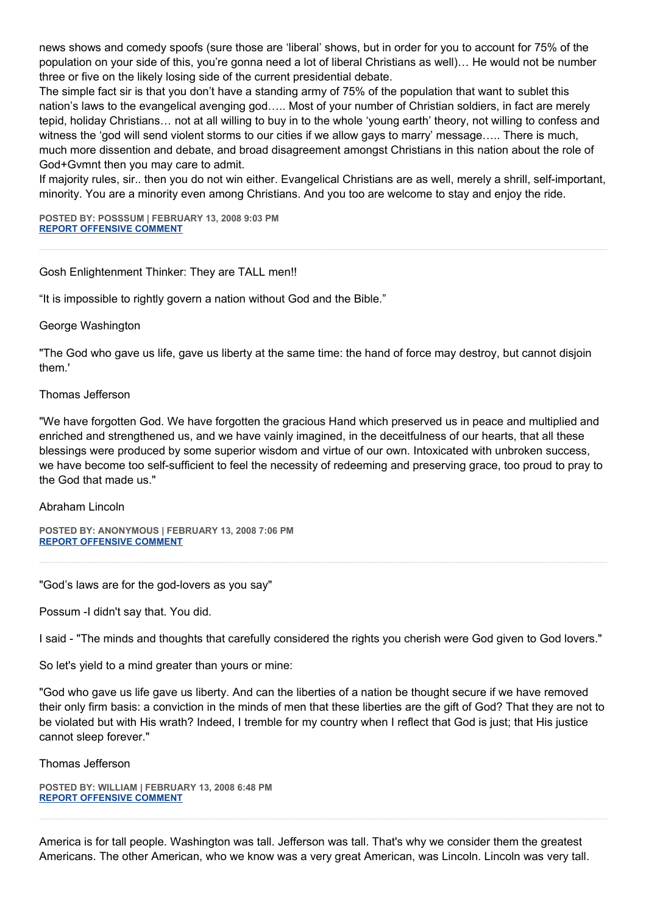news shows and comedy spoofs (sure those are 'liberal' shows, but in order for you to account for 75% of the population on your side of this, you're gonna need a lot of liberal Christians as well)… He would not be number three or five on the likely losing side of the current presidential debate.

The simple fact sir is that you don't have a standing army of 75% of the population that want to sublet this nation's laws to the evangelical avenging god….. Most of your number of Christian soldiers, in fact are merely tepid, holiday Christians… not at all willing to buy in to the whole 'young earth' theory, not willing to confess and witness the 'god will send violent storms to our cities if we allow gays to marry' message….. There is much, much more dissention and debate, and broad disagreement amongst Christians in this nation about the role of God+Gvmnt then you may care to admit.

If majority rules, sir.. then you do not win either. Evangelical Christians are as well, merely a shrill, self-important, minority. You are a minority even among Christians. And you too are welcome to stay and enjoy the ride.

**POSTED BY: POSSSUM | FEBRUARY 13, 2008 9:03 PM [REPORT OFFENSIVE COMMENT](mailto:blogs@washingtonpost.com?subject=On%20Faith%20Panelists%20Blog%20%20%7C%20%20Posssum%20%20%7C%20%20American%20Law%20and%20Shariah%20are%20Incompatible%20%20%7C%20%202471418&body=%0D%0D%0D%0D%0D================%0D?__mode=view%26_type=comment%26id=2471418%26blog_id=618)**

## Gosh Enlightenment Thinker: They are TALL men!!

"It is impossible to rightly govern a nation without God and the Bible."

George Washington

"The God who gave us life, gave us liberty at the same time: the hand of force may destroy, but cannot disjoin them.'

### Thomas Jefferson

"We have forgotten God. We have forgotten the gracious Hand which preserved us in peace and multiplied and enriched and strengthened us, and we have vainly imagined, in the deceitfulness of our hearts, that all these blessings were produced by some superior wisdom and virtue of our own. Intoxicated with unbroken success, we have become too self-sufficient to feel the necessity of redeeming and preserving grace, too proud to pray to the God that made us."

#### Abraham Lincoln

**POSTED BY: ANONYMOUS | FEBRUARY 13, 2008 7:06 PM [REPORT OFFENSIVE COMMENT](mailto:blogs@washingtonpost.com?subject=On%20Faith%20Panelists%20Blog%20%20%7C%20%20Anonymous%20%20%7C%20%20American%20Law%20and%20Shariah%20are%20Incompatible%20%20%7C%20%202470652&body=%0D%0D%0D%0D%0D================%0D?__mode=view%26_type=comment%26id=2470652%26blog_id=618)**

"God's laws are for the god-lovers as you say"

Possum -I didn't say that. You did.

I said - "The minds and thoughts that carefully considered the rights you cherish were God given to God lovers."

So let's yield to a mind greater than yours or mine:

"God who gave us life gave us liberty. And can the liberties of a nation be thought secure if we have removed their only firm basis: a conviction in the minds of men that these liberties are the gift of God? That they are not to be violated but with His wrath? Indeed, I tremble for my country when I reflect that God is just; that His justice cannot sleep forever."

Thomas Jefferson

**POSTED BY: WILLIAM | FEBRUARY 13, 2008 6:48 PM [REPORT OFFENSIVE COMMENT](mailto:blogs@washingtonpost.com?subject=On%20Faith%20Panelists%20Blog%20%20%7C%20%20william%20%20%7C%20%20American%20Law%20and%20Shariah%20are%20Incompatible%20%20%7C%20%202470558&body=%0D%0D%0D%0D%0D================%0D?__mode=view%26_type=comment%26id=2470558%26blog_id=618)**

America is for tall people. Washington was tall. Jefferson was tall. That's why we consider them the greatest Americans. The other American, who we know was a very great American, was Lincoln. Lincoln was very tall.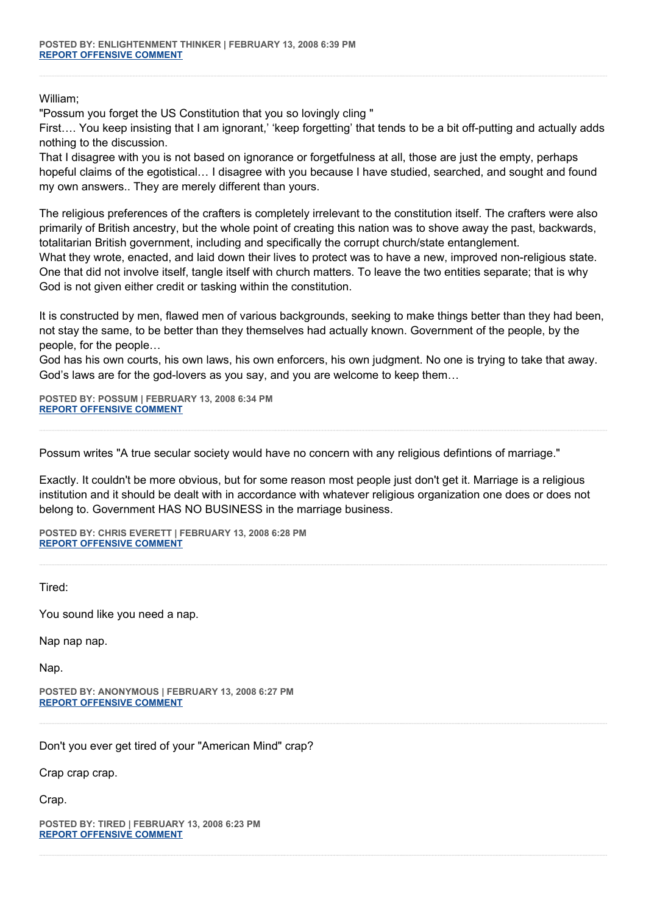William;

"Possum you forget the US Constitution that you so lovingly cling "

First…. You keep insisting that I am ignorant,' 'keep forgetting' that tends to be a bit off-putting and actually adds nothing to the discussion.

That I disagree with you is not based on ignorance or forgetfulness at all, those are just the empty, perhaps hopeful claims of the egotistical… I disagree with you because I have studied, searched, and sought and found my own answers.. They are merely different than yours.

The religious preferences of the crafters is completely irrelevant to the constitution itself. The crafters were also primarily of British ancestry, but the whole point of creating this nation was to shove away the past, backwards, totalitarian British government, including and specifically the corrupt church/state entanglement.

What they wrote, enacted, and laid down their lives to protect was to have a new, improved non-religious state. One that did not involve itself, tangle itself with church matters. To leave the two entities separate; that is why God is not given either credit or tasking within the constitution.

It is constructed by men, flawed men of various backgrounds, seeking to make things better than they had been, not stay the same, to be better than they themselves had actually known. Government of the people, by the people, for the people…

God has his own courts, his own laws, his own enforcers, his own judgment. No one is trying to take that away. God's laws are for the god-lovers as you say, and you are welcome to keep them…

**POSTED BY: POSSUM | FEBRUARY 13, 2008 6:34 PM [REPORT OFFENSIVE COMMENT](mailto:blogs@washingtonpost.com?subject=On%20Faith%20Panelists%20Blog%20%20%7C%20%20Possum%20%20%7C%20%20American%20Law%20and%20Shariah%20are%20Incompatible%20%20%7C%20%202470477&body=%0D%0D%0D%0D%0D================%0D?__mode=view%26_type=comment%26id=2470477%26blog_id=618)**

Possum writes "A true secular society would have no concern with any religious defintions of marriage."

Exactly. It couldn't be more obvious, but for some reason most people just don't get it. Marriage is a religious institution and it should be dealt with in accordance with whatever religious organization one does or does not belong to. Government HAS NO BUSINESS in the marriage business.

**POSTED BY: CHRIS EVERETT | FEBRUARY 13, 2008 6:28 PM [REPORT OFFENSIVE COMMENT](mailto:blogs@washingtonpost.com?subject=On%20Faith%20Panelists%20Blog%20%20%7C%20%20Chris%20Everett%20%20%7C%20%20American%20Law%20and%20Shariah%20are%20Incompatible%20%20%7C%20%202470444&body=%0D%0D%0D%0D%0D================%0D?__mode=view%26_type=comment%26id=2470444%26blog_id=618)**

Tired:

You sound like you need a nap.

Nap nap nap.

Nap.

**POSTED BY: ANONYMOUS | FEBRUARY 13, 2008 6:27 PM [REPORT OFFENSIVE COMMENT](mailto:blogs@washingtonpost.com?subject=On%20Faith%20Panelists%20Blog%20%20%7C%20%20Anonymous%20%20%7C%20%20American%20Law%20and%20Shariah%20are%20Incompatible%20%20%7C%20%202470438&body=%0D%0D%0D%0D%0D================%0D?__mode=view%26_type=comment%26id=2470438%26blog_id=618)**

Don't you ever get tired of your "American Mind" crap?

Crap crap crap.

Crap.

**POSTED BY: TIRED | FEBRUARY 13, 2008 6:23 PM [REPORT OFFENSIVE COMMENT](mailto:blogs@washingtonpost.com?subject=On%20Faith%20Panelists%20Blog%20%20%7C%20%20Tired%20%20%7C%20%20American%20Law%20and%20Shariah%20are%20Incompatible%20%20%7C%20%202470412&body=%0D%0D%0D%0D%0D================%0D?__mode=view%26_type=comment%26id=2470412%26blog_id=618)**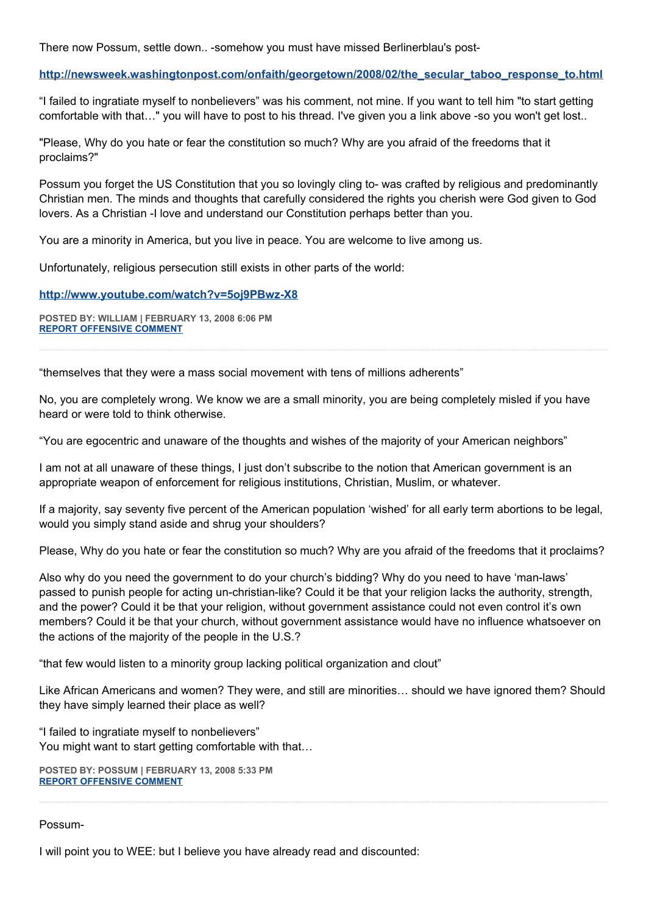There now Possum, settle down.. -somehow you must have missed Berlinerblau's post-

## **[http://newsweek.washingtonpost.com/onfaith/georgetown/2008/02/the\\_secular\\_taboo\\_response\\_to.html](http://newsweek.washingtonpost.com/onfaith/georgetown/2008/02/the_secular_taboo_response_to.html)**

"I failed to ingratiate myself to nonbelievers" was his comment, not mine. If you want to tell him "to start getting comfortable with that…" you will have to post to his thread. I've given you a link above -so you won't get lost..

"Please, Why do you hate or fear the constitution so much? Why are you afraid of the freedoms that it proclaims?"

Possum you forget the US Constitution that you so lovingly cling to- was crafted by religious and predominantly Christian men. The minds and thoughts that carefully considered the rights you cherish were God given to God lovers. As a Christian -I love and understand our Constitution perhaps better than you.

You are a minority in America, but you live in peace. You are welcome to live among us.

Unfortunately, religious persecution still exists in other parts of the world:

### **<http://www.youtube.com/watch?v=5oj9PBwz-X8>**

**POSTED BY: WILLIAM | FEBRUARY 13, 2008 6:06 PM [REPORT OFFENSIVE COMMENT](mailto:blogs@washingtonpost.com?subject=On%20Faith%20Panelists%20Blog%20%20%7C%20%20william%20%20%7C%20%20American%20Law%20and%20Shariah%20are%20Incompatible%20%20%7C%20%202470299&body=%0D%0D%0D%0D%0D================%0D?__mode=view%26_type=comment%26id=2470299%26blog_id=618)**

"themselves that they were a mass social movement with tens of millions adherents"

No, you are completely wrong. We know we are a small minority, you are being completely misled if you have heard or were told to think otherwise.

"You are egocentric and unaware of the thoughts and wishes of the majority of your American neighbors"

I am not at all unaware of these things, I just don't subscribe to the notion that American government is an appropriate weapon of enforcement for religious institutions, Christian, Muslim, or whatever.

If a majority, say seventy five percent of the American population 'wished' for all early term abortions to be legal, would you simply stand aside and shrug your shoulders?

Please, Why do you hate or fear the constitution so much? Why are you afraid of the freedoms that it proclaims?

Also why do you need the government to do your church's bidding? Why do you need to have 'man-laws' passed to punish people for acting un-christian-like? Could it be that your religion lacks the authority, strength, and the power? Could it be that your religion, without government assistance could not even control it's own members? Could it be that your church, without government assistance would have no influence whatsoever on the actions of the majority of the people in the U.S.?

"that few would listen to a minority group lacking political organization and clout"

Like African Americans and women? They were, and still are minorities… should we have ignored them? Should they have simply learned their place as well?

"I failed to ingratiate myself to nonbelievers" You might want to start getting comfortable with that…

**POSTED BY: POSSUM | FEBRUARY 13, 2008 5:33 PM [REPORT OFFENSIVE COMMENT](mailto:blogs@washingtonpost.com?subject=On%20Faith%20Panelists%20Blog%20%20%7C%20%20Possum%20%20%7C%20%20American%20Law%20and%20Shariah%20are%20Incompatible%20%20%7C%20%202470125&body=%0D%0D%0D%0D%0D================%0D?__mode=view%26_type=comment%26id=2470125%26blog_id=618)**

Possum-

I will point you to WEE: but I believe you have already read and discounted: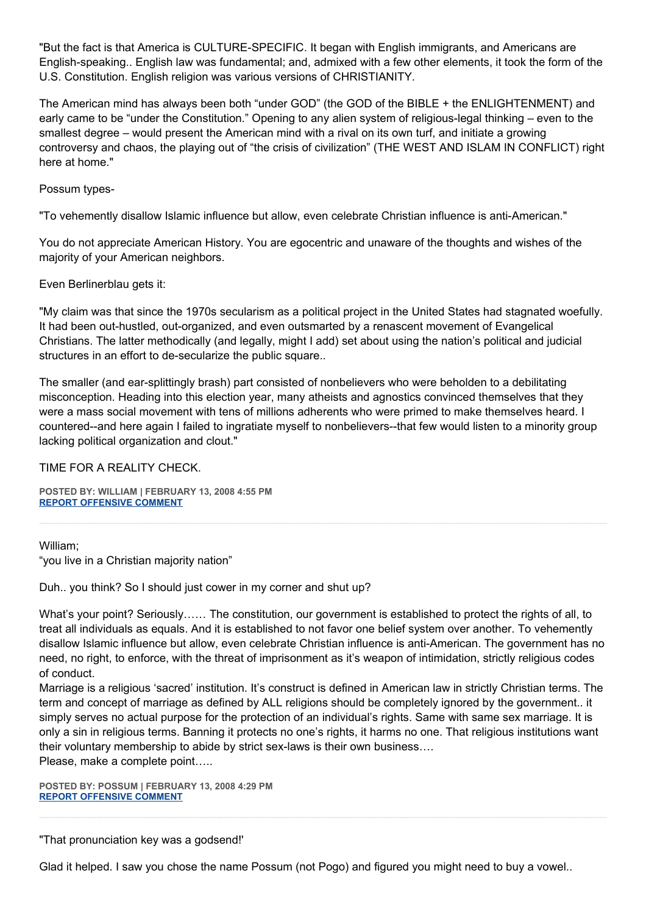"But the fact is that America is CULTURE-SPECIFIC. It began with English immigrants, and Americans are English-speaking.. English law was fundamental; and, admixed with a few other elements, it took the form of the U.S. Constitution. English religion was various versions of CHRISTIANITY.

The American mind has always been both "under GOD" (the GOD of the BIBLE + the ENLIGHTENMENT) and early came to be "under the Constitution." Opening to any alien system of religious-legal thinking – even to the smallest degree – would present the American mind with a rival on its own turf, and initiate a growing controversy and chaos, the playing out of "the crisis of civilization" (THE WEST AND ISLAM IN CONFLICT) right here at home."

Possum types-

"To vehemently disallow Islamic influence but allow, even celebrate Christian influence is anti-American."

You do not appreciate American History. You are egocentric and unaware of the thoughts and wishes of the majority of your American neighbors.

Even Berlinerblau gets it:

"My claim was that since the 1970s secularism as a political project in the United States had stagnated woefully. It had been out-hustled, out-organized, and even outsmarted by a renascent movement of Evangelical Christians. The latter methodically (and legally, might I add) set about using the nation's political and judicial structures in an effort to de-secularize the public square..

The smaller (and ear-splittingly brash) part consisted of nonbelievers who were beholden to a debilitating misconception. Heading into this election year, many atheists and agnostics convinced themselves that they were a mass social movement with tens of millions adherents who were primed to make themselves heard. I countered--and here again I failed to ingratiate myself to nonbelievers--that few would listen to a minority group lacking political organization and clout."

TIME FOR A REALITY CHECK.

**POSTED BY: WILLIAM | FEBRUARY 13, 2008 4:55 PM [REPORT OFFENSIVE COMMENT](mailto:blogs@washingtonpost.com?subject=On%20Faith%20Panelists%20Blog%20%20%7C%20%20william%20%20%7C%20%20American%20Law%20and%20Shariah%20are%20Incompatible%20%20%7C%20%202469878&body=%0D%0D%0D%0D%0D================%0D?__mode=view%26_type=comment%26id=2469878%26blog_id=618)**

William; "you live in a Christian majority nation"

Duh.. you think? So I should just cower in my corner and shut up?

What's your point? Seriously…… The constitution, our government is established to protect the rights of all, to treat all individuals as equals. And it is established to not favor one belief system over another. To vehemently disallow Islamic influence but allow, even celebrate Christian influence is anti-American. The government has no need, no right, to enforce, with the threat of imprisonment as it's weapon of intimidation, strictly religious codes of conduct.

Marriage is a religious 'sacred' institution. It's construct is defined in American law in strictly Christian terms. The term and concept of marriage as defined by ALL religions should be completely ignored by the government.. it simply serves no actual purpose for the protection of an individual's rights. Same with same sex marriage. It is only a sin in religious terms. Banning it protects no one's rights, it harms no one. That religious institutions want their voluntary membership to abide by strict sex-laws is their own business…. Please, make a complete point…..

**POSTED BY: POSSUM | FEBRUARY 13, 2008 4:29 PM [REPORT OFFENSIVE COMMENT](mailto:blogs@washingtonpost.com?subject=On%20Faith%20Panelists%20Blog%20%20%7C%20%20Possum%20%20%7C%20%20American%20Law%20and%20Shariah%20are%20Incompatible%20%20%7C%20%202469719&body=%0D%0D%0D%0D%0D================%0D?__mode=view%26_type=comment%26id=2469719%26blog_id=618)**

"That pronunciation key was a godsend!'

Glad it helped. I saw you chose the name Possum (not Pogo) and figured you might need to buy a vowel..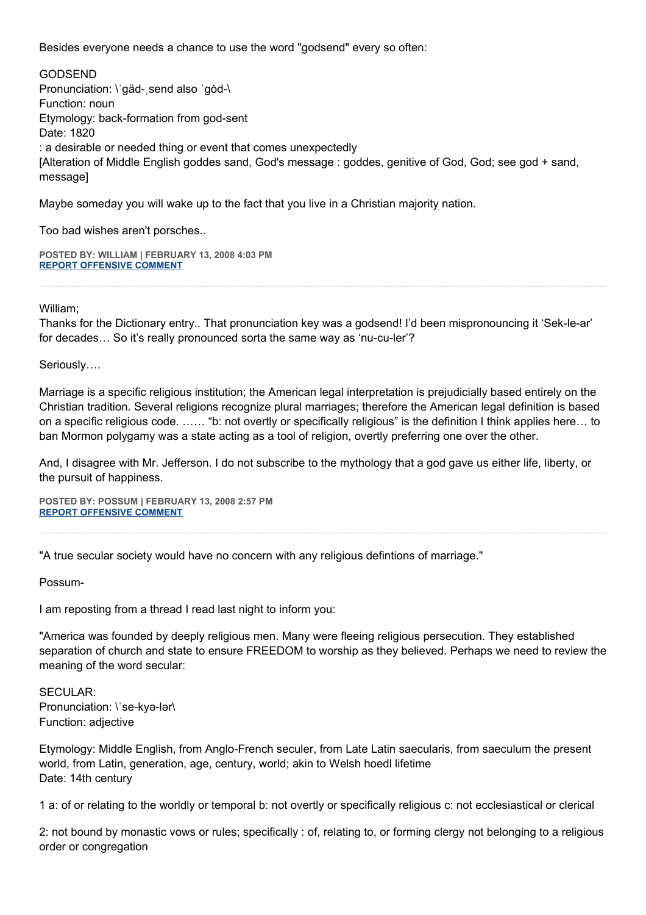Besides everyone needs a chance to use the word "godsend" every so often:

GODSEND Pronunciation: \'gäd- send also 'god-\ Function: noun Etymology: back-formation from god-sent Date: 1820 : a desirable or needed thing or event that comes unexpectedly [Alteration of Middle English goddes sand, God's message : goddes, genitive of God, God; see god + sand, message]

Maybe someday you will wake up to the fact that you live in a Christian majority nation.

Too bad wishes aren't porsches..

**POSTED BY: WILLIAM | FEBRUARY 13, 2008 4:03 PM [REPORT OFFENSIVE COMMENT](mailto:blogs@washingtonpost.com?subject=On%20Faith%20Panelists%20Blog%20%20%7C%20%20william%20%20%7C%20%20American%20Law%20and%20Shariah%20are%20Incompatible%20%20%7C%20%202469516&body=%0D%0D%0D%0D%0D================%0D?__mode=view%26_type=comment%26id=2469516%26blog_id=618)**

William;

Thanks for the Dictionary entry.. That pronunciation key was a godsend! I'd been mispronouncing it 'Sek-le-ar' for decades… So it's really pronounced sorta the same way as 'nu-cu-ler'?

Seriously….

Marriage is a specific religious institution; the American legal interpretation is prejudicially based entirely on the Christian tradition. Several religions recognize plural marriages; therefore the American legal definition is based on a specific religious code. …… "b: not overtly or specifically religious" is the definition I think applies here… to ban Mormon polygamy was a state acting as a tool of religion, overtly preferring one over the other.

And, I disagree with Mr. Jefferson. I do not subscribe to the mythology that a god gave us either life, liberty, or the pursuit of happiness.

**POSTED BY: POSSUM | FEBRUARY 13, 2008 2:57 PM [REPORT OFFENSIVE COMMENT](mailto:blogs@washingtonpost.com?subject=On%20Faith%20Panelists%20Blog%20%20%7C%20%20possum%20%20%7C%20%20American%20Law%20and%20Shariah%20are%20Incompatible%20%20%7C%20%202469045&body=%0D%0D%0D%0D%0D================%0D?__mode=view%26_type=comment%26id=2469045%26blog_id=618)**

"A true secular society would have no concern with any religious defintions of marriage."

Possum-

I am reposting from a thread I read last night to inform you:

"America was founded by deeply religious men. Many were fleeing religious persecution. They established separation of church and state to ensure FREEDOM to worship as they believed. Perhaps we need to review the meaning of the word secular:

SECULAR: Pronunciation: \'se-kyə-lər\ Function: adjective

Etymology: Middle English, from Anglo-French seculer, from Late Latin saecularis, from saeculum the present world, from Latin, generation, age, century, world; akin to Welsh hoedl lifetime Date: 14th century

1 a: of or relating to the worldly or temporal b: not overtly or specifically religious c: not ecclesiastical or clerical

2: not bound by monastic vows or rules; specifically : of, relating to, or forming clergy not belonging to a religious order or congregation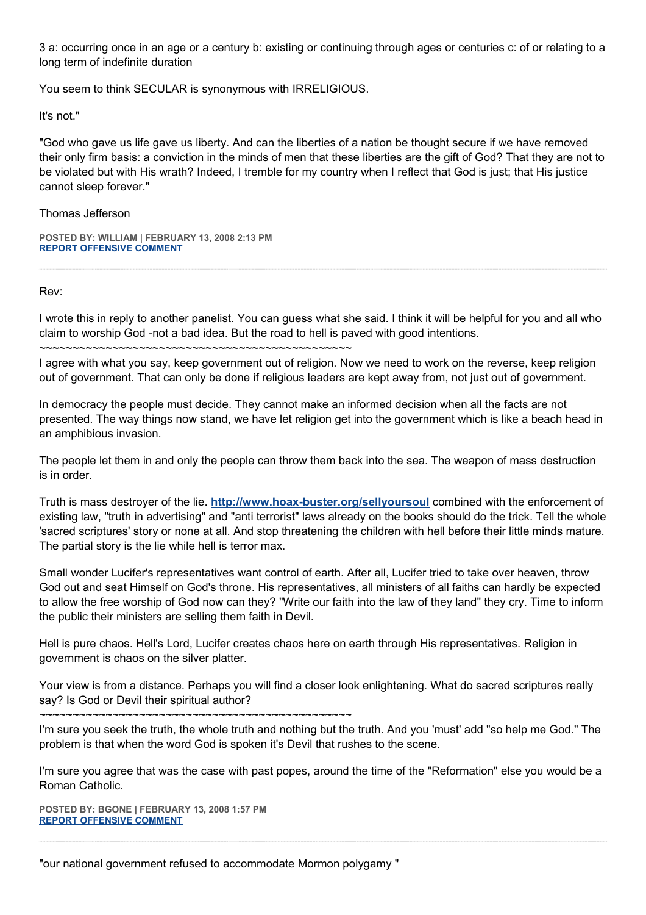3 a: occurring once in an age or a century b: existing or continuing through ages or centuries c: of or relating to a long term of indefinite duration

You seem to think SECULAR is synonymous with IRRELIGIOUS.

It's not."

"God who gave us life gave us liberty. And can the liberties of a nation be thought secure if we have removed their only firm basis: a conviction in the minds of men that these liberties are the gift of God? That they are not to be violated but with His wrath? Indeed, I tremble for my country when I reflect that God is just; that His justice cannot sleep forever."

# Thomas Jefferson

**POSTED BY: WILLIAM | FEBRUARY 13, 2008 2:13 PM [REPORT OFFENSIVE COMMENT](mailto:blogs@washingtonpost.com?subject=On%20Faith%20Panelists%20Blog%20%20%7C%20%20william%20%20%7C%20%20American%20Law%20and%20Shariah%20are%20Incompatible%20%20%7C%20%202468780&body=%0D%0D%0D%0D%0D================%0D?__mode=view%26_type=comment%26id=2468780%26blog_id=618)**

Rev:

I wrote this in reply to another panelist. You can guess what she said. I think it will be helpful for you and all who claim to worship God -not a bad idea. But the road to hell is paved with good intentions.

~~~~~~~~~~~~~~~~~~~~~~~~~~~~~~~~~~~~~~~~~~~~~~~

I agree with what you say, keep government out of religion. Now we need to work on the reverse, keep religion out of government. That can only be done if religious leaders are kept away from, not just out of government.

In democracy the people must decide. They cannot make an informed decision when all the facts are not presented. The way things now stand, we have let religion get into the government which is like a beach head in an amphibious invasion.

The people let them in and only the people can throw them back into the sea. The weapon of mass destruction is in order.

Truth is mass destroyer of the lie. **<http://www.hoax-buster.org/sellyoursoul>** combined with the enforcement of existing law, "truth in advertising" and "anti terrorist" laws already on the books should do the trick. Tell the whole 'sacred scriptures' story or none at all. And stop threatening the children with hell before their little minds mature. The partial story is the lie while hell is terror max.

Small wonder Lucifer's representatives want control of earth. After all, Lucifer tried to take over heaven, throw God out and seat Himself on God's throne. His representatives, all ministers of all faiths can hardly be expected to allow the free worship of God now can they? "Write our faith into the law of they land" they cry. Time to inform the public their ministers are selling them faith in Devil.

Hell is pure chaos. Hell's Lord, Lucifer creates chaos here on earth through His representatives. Religion in government is chaos on the silver platter.

Your view is from a distance. Perhaps you will find a closer look enlightening. What do sacred scriptures really say? Is God or Devil their spiritual author?

~~~~~~~~~~~~~~~~~~~~~~~~~~~~~~~~~~~~~~~~~~~~~~~

I'm sure you seek the truth, the whole truth and nothing but the truth. And you 'must' add "so help me God." The problem is that when the word God is spoken it's Devil that rushes to the scene.

I'm sure you agree that was the case with past popes, around the time of the "Reformation" else you would be a Roman Catholic.

**POSTED BY: BGONE | FEBRUARY 13, 2008 1:57 PM [REPORT OFFENSIVE COMMENT](mailto:blogs@washingtonpost.com?subject=On%20Faith%20Panelists%20Blog%20%20%7C%20%20BGone%20%20%7C%20%20American%20Law%20and%20Shariah%20are%20Incompatible%20%20%7C%20%202468665&body=%0D%0D%0D%0D%0D================%0D?__mode=view%26_type=comment%26id=2468665%26blog_id=618)**

"our national government refused to accommodate Mormon polygamy "